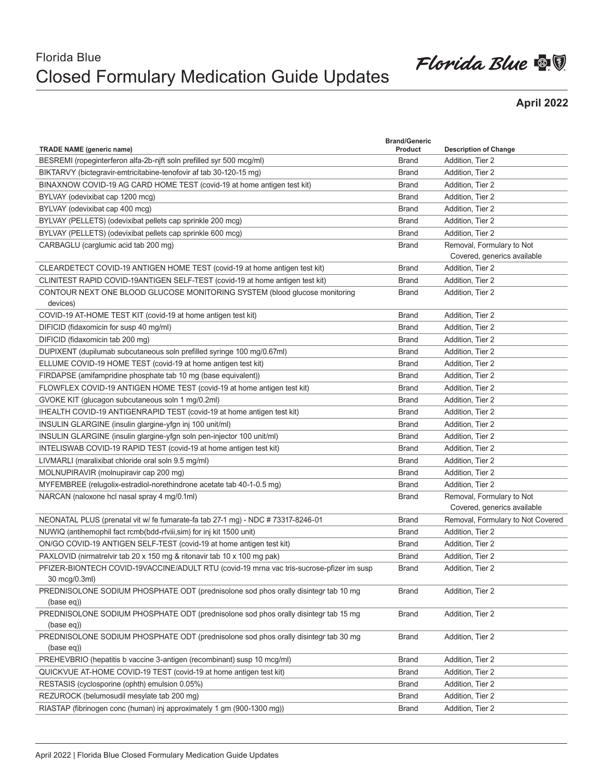## Florida Blue Closed Formulary Medication Guide Updates

## Florida Blue  $\blacksquare$

## **April 2022**

|                                                                                                   | <b>Brand/Generic</b> |                                      |
|---------------------------------------------------------------------------------------------------|----------------------|--------------------------------------|
| <b>TRADE NAME (generic name)</b>                                                                  | Product              | <b>Description of Change</b>         |
| BESREMI (ropeginterferon alfa-2b-njft soln prefilled syr 500 mcg/ml)                              | <b>Brand</b>         | Addition, Tier 2                     |
| BIKTARVY (bictegravir-emtricitabine-tenofovir af tab 30-120-15 mg)                                | <b>Brand</b>         | Addition, Tier 2                     |
| BINAXNOW COVID-19 AG CARD HOME TEST (covid-19 at home antigen test kit)                           | <b>Brand</b>         | Addition, Tier 2                     |
| BYLVAY (odevixibat cap 1200 mcg)                                                                  | <b>Brand</b>         | Addition, Tier 2                     |
| BYLVAY (odevixibat cap 400 mcg)                                                                   | <b>Brand</b>         | Addition, Tier 2                     |
| BYLVAY (PELLETS) (odevixibat pellets cap sprinkle 200 mcg)                                        | <b>Brand</b>         | Addition, Tier 2                     |
| BYLVAY (PELLETS) (odevixibat pellets cap sprinkle 600 mcg)                                        | <b>Brand</b>         | Addition, Tier 2                     |
| CARBAGLU (carglumic acid tab 200 mg)                                                              | <b>Brand</b>         | Removal, Formulary to Not            |
|                                                                                                   |                      | Covered, generics available          |
| CLEARDETECT COVID-19 ANTIGEN HOME TEST (covid-19 at home antigen test kit)                        | <b>Brand</b>         | Addition, Tier 2                     |
| CLINITEST RAPID COVID-19ANTIGEN SELF-TEST (covid-19 at home antigen test kit)                     | <b>Brand</b>         | Addition, Tier 2                     |
| CONTOUR NEXT ONE BLOOD GLUCOSE MONITORING SYSTEM (blood glucose monitoring                        | <b>Brand</b>         | Addition, Tier 2                     |
| devices)<br>COVID-19 AT-HOME TEST KIT (covid-19 at home antigen test kit)                         | <b>Brand</b>         |                                      |
|                                                                                                   |                      | Addition, Tier 2<br>Addition, Tier 2 |
| DIFICID (fidaxomicin for susp 40 mg/ml)                                                           | <b>Brand</b>         |                                      |
| DIFICID (fidaxomicin tab 200 mg)                                                                  | <b>Brand</b>         | Addition, Tier 2                     |
| DUPIXENT (dupilumab subcutaneous soln prefilled syringe 100 mg/0.67ml)                            | <b>Brand</b>         | Addition, Tier 2                     |
| ELLUME COVID-19 HOME TEST (covid-19 at home antigen test kit)                                     | <b>Brand</b>         | Addition, Tier 2                     |
| FIRDAPSE (amifampridine phosphate tab 10 mg (base equivalent))                                    | <b>Brand</b>         | Addition, Tier 2                     |
| FLOWFLEX COVID-19 ANTIGEN HOME TEST (covid-19 at home antigen test kit)                           | <b>Brand</b>         | Addition, Tier 2                     |
| GVOKE KIT (glucagon subcutaneous soln 1 mg/0.2ml)                                                 | <b>Brand</b>         | Addition, Tier 2                     |
| IHEALTH COVID-19 ANTIGENRAPID TEST (covid-19 at home antigen test kit)                            | <b>Brand</b>         | Addition, Tier 2                     |
| INSULIN GLARGINE (insulin glargine-yfgn inj 100 unit/ml)                                          | <b>Brand</b>         | Addition, Tier 2                     |
| INSULIN GLARGINE (insulin glargine-yfgn soln pen-injector 100 unit/ml)                            | <b>Brand</b>         | Addition, Tier 2                     |
| INTELISWAB COVID-19 RAPID TEST (covid-19 at home antigen test kit)                                | <b>Brand</b>         | Addition, Tier 2                     |
| LIVMARLI (maralixibat chloride oral soln 9.5 mg/ml)                                               | <b>Brand</b>         | Addition, Tier 2                     |
| MOLNUPIRAVIR (molnupiravir cap 200 mg)                                                            | <b>Brand</b>         | Addition, Tier 2                     |
| MYFEMBREE (relugolix-estradiol-norethindrone acetate tab 40-1-0.5 mg)                             | <b>Brand</b>         | Addition, Tier 2                     |
| NARCAN (naloxone hcl nasal spray 4 mg/0.1ml)                                                      | <b>Brand</b>         | Removal, Formulary to Not            |
|                                                                                                   |                      | Covered, generics available          |
| NEONATAL PLUS (prenatal vit w/ fe fumarate-fa tab 27-1 mg) - NDC # 73317-8246-01                  | <b>Brand</b>         | Removal, Formulary to Not Covered    |
| NUWIQ (antihemophil fact rcmb(bdd-rfviii, sim) for inj kit 1500 unit)                             | <b>Brand</b>         | Addition, Tier 2                     |
| ON/GO COVID-19 ANTIGEN SELF-TEST (covid-19 at home antigen test kit)                              | <b>Brand</b>         | Addition, Tier 2                     |
| PAXLOVID (nirmatrelvir tab 20 x 150 mg & ritonavir tab 10 x 100 mg pak)                           | <b>Brand</b>         | Addition, Tier 2                     |
| PFIZER-BIONTECH COVID-19VACCINE/ADULT RTU (covid-19 mrna vac tris-sucrose-pfizer im susp          | <b>Brand</b>         | Addition, Tier 2                     |
| 30 mcg/0.3ml)                                                                                     |                      |                                      |
| PREDNISOLONE SODIUM PHOSPHATE ODT (prednisolone sod phos orally disintegr tab 10 mg               | <b>Brand</b>         | Addition, Tier 2                     |
| (base eq))                                                                                        |                      |                                      |
| PREDNISOLONE SODIUM PHOSPHATE ODT (prednisolone sod phos orally disintegr tab 15 mg               | <b>Brand</b>         | Addition, Tier 2                     |
| (base eq))                                                                                        |                      |                                      |
| PREDNISOLONE SODIUM PHOSPHATE ODT (prednisolone sod phos orally disintegr tab 30 mg<br>(base eq)) | <b>Brand</b>         | Addition, Tier 2                     |
| PREHEVBRIO (hepatitis b vaccine 3-antigen (recombinant) susp 10 mcg/ml)                           | <b>Brand</b>         | Addition, Tier 2                     |
| QUICKVUE AT-HOME COVID-19 TEST (covid-19 at home antigen test kit)                                | <b>Brand</b>         | Addition, Tier 2                     |
| RESTASIS (cyclosporine (ophth) emulsion 0.05%)                                                    | <b>Brand</b>         | Addition, Tier 2                     |
| REZUROCK (belumosudil mesylate tab 200 mg)                                                        |                      | Addition, Tier 2                     |
|                                                                                                   | <b>Brand</b>         |                                      |
| RIASTAP (fibrinogen conc (human) inj approximately 1 gm (900-1300 mg))                            | <b>Brand</b>         | Addition, Tier 2                     |